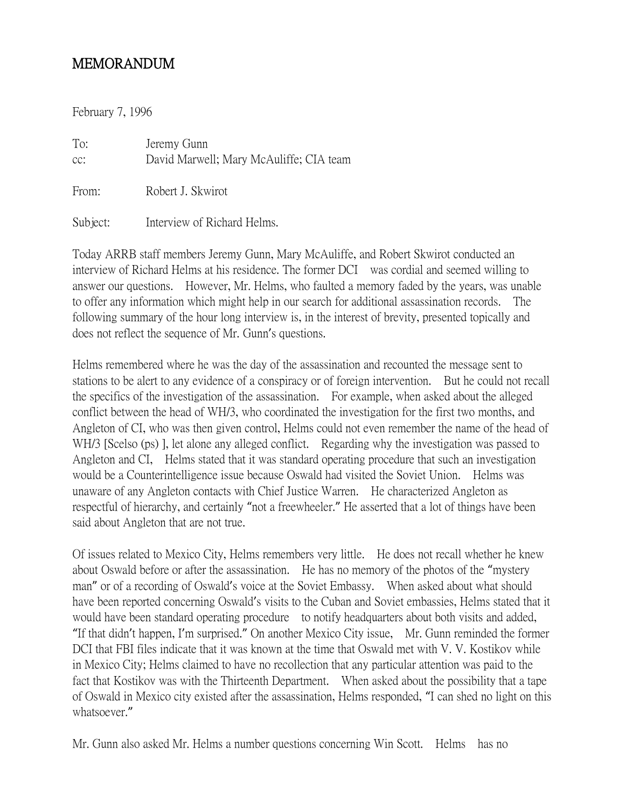## MEMORANDUM

February 7, 1996

To: Jeremy Gunn cc: David Marwell; Mary McAuliffe; CIA team From: Robert J. Skwirot Subject: Interview of Richard Helms.

Today ARRB staff members Jeremy Gunn, Mary McAuliffe, and Robert Skwirot conducted an interview of Richard Helms at his residence. The former DCI was cordial and seemed willing to answer our questions. However, Mr. Helms, who faulted a memory faded by the years, was unable to offer any information which might help in our search for additional assassination records. The following summary of the hour long interview is, in the interest of brevity, presented topically and does not reflect the sequence of Mr. Gunn's questions.

Helms remembered where he was the day of the assassination and recounted the message sent to stations to be alert to any evidence of a conspiracy or of foreign intervention. But he could not recall the specifics of the investigation of the assassination. For example, when asked about the alleged conflict between the head of WH/3, who coordinated the investigation for the first two months, and Angleton of CI, who was then given control, Helms could not even remember the name of the head of WH/3 [Scelso (ps) ], let alone any alleged conflict. Regarding why the investigation was passed to Angleton and CI, Helms stated that it was standard operating procedure that such an investigation would be a Counterintelligence issue because Oswald had visited the Soviet Union. Helms was unaware of any Angleton contacts with Chief Justice Warren. He characterized Angleton as respectful of hierarchy, and certainly "not a freewheeler." He asserted that a lot of things have been said about Angleton that are not true.

Of issues related to Mexico City, Helms remembers very little. He does not recall whether he knew about Oswald before or after the assassination. He has no memory of the photos of the "mystery man" or of a recording of Oswald's voice at the Soviet Embassy. When asked about what should have been reported concerning Oswald's visits to the Cuban and Soviet embassies, Helms stated that it would have been standard operating procedure to notify headquarters about both visits and added, "If that didn't happen, I'm surprised." On another Mexico City issue, Mr. Gunn reminded the former DCI that FBI files indicate that it was known at the time that Oswald met with V. V. Kostikov while in Mexico City; Helms claimed to have no recollection that any particular attention was paid to the fact that Kostikov was with the Thirteenth Department. When asked about the possibility that a tape of Oswald in Mexico city existed after the assassination, Helms responded, "I can shed no light on this whatsoever."

Mr. Gunn also asked Mr. Helms a number questions concerning Win Scott. Helms has no